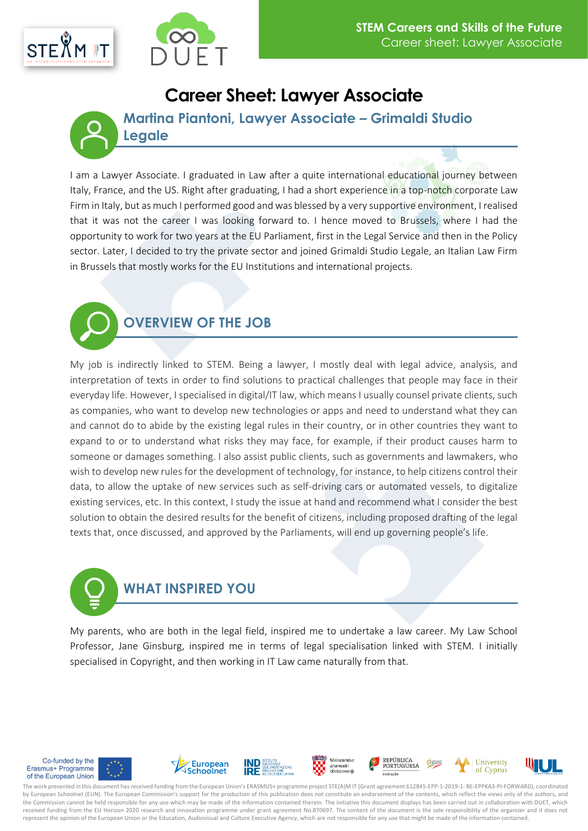



## **Career Sheet: Lawyer Associate**

**Martina Piantoni, Lawyer Associate – Grimaldi Studio Legale**

I am a Lawyer Associate. I graduated in Law after a quite international educational journey between Italy, France, and the US. Right after graduating, I had a short experience in a top-notch corporate Law Firm in Italy, but as much I performed good and was blessed by a very supportive environment, I realised that it was not the career I was looking forward to. I hence moved to Brussels, where I had the opportunity to work for two years at the EU Parliament, first in the Legal Service and then in the Policy sector. Later, I decided to try the private sector and joined Grimaldi Studio Legale, an Italian Law Firm in Brussels that mostly works for the EU Institutions and international projects.

**OVERVIEW OF THE JOB**

My job is indirectly linked to STEM. Being a lawyer, I mostly deal with legal advice, analysis, and interpretation of texts in order to find solutions to practical challenges that people may face in their everyday life. However, I specialised in digital/IT law, which means I usually counsel private clients, such as companies, who want to develop new technologies or apps and need to understand what they can and cannot do to abide by the existing legal rules in their country, or in other countries they want to expand to or to understand what risks they may face, for example, if their product causes harm to someone or damages something. I also assist public clients, such as governments and lawmakers, who wish to develop new rules for the development of technology, for instance, to help citizens control their data, to allow the uptake of new services such as self-driving cars or automated vessels, to digitalize existing services, etc. In this context, I study the issue at hand and recommend what I consider the best solution to obtain the desired results for the benefit of citizens, including proposed drafting of the legal texts that, once discussed, and approved by the Parliaments, will end up governing people's life.



My parents, who are both in the legal field, inspired me to undertake a law career. My Law School Professor, Jane Ginsburg, inspired me in terms of legal specialisation linked with STEM. I initially specialised in Copyright, and then working in IT Law came naturally from that.



The work presented in this document has received funding from the European Union's ERASMUS+ programme project STE(A)M IT (Grant agreement 612845-EPP-1-2019-1- BE-EPPKA3-PI-FORWARD), coordinated by European Schoolnet (EUN). The European Commission's support for the production of this publication does not constitute an endorsement of the contents, which reflect the views only of the authors, and the Commission cannot be held responsible for any use which may be made of the information contained therein. The initiative this document displays has been carried out in collaboration with DUET, which received funding from the EU Horizon 2020 research and innovation programme under grant agreement No.870697. The content of the document is the sole responsibility of the organizer and it does not represent the opinion of the European Union or the Education, Audiovisual and Culture Executive Agency, which are not responsible for any use that might be made of the information contained.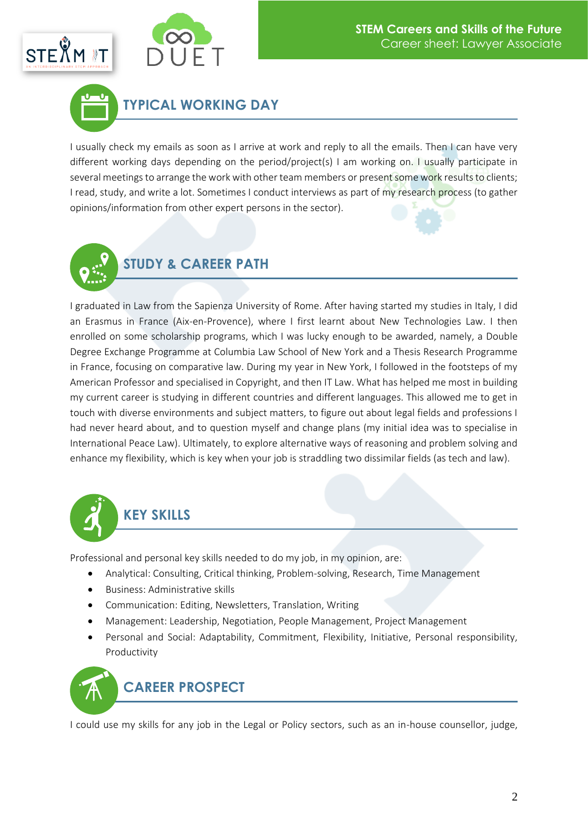



**TYPICAL WORKING DAY**

I usually check my emails as soon as I arrive at work and reply to all the emails. Then I can have very different working days depending on the period/project(s) I am working on. I usually participate in several meetings to arrange the work with other team members or present some work results to clients; I read, study, and write a lot. Sometimes I conduct interviews as part of my research process (to gather opinions/information from other expert persons in the sector).



# **STUDY & CAREER PATH**

I graduated in Law from the Sapienza University of Rome. After having started my studies in Italy, I did an Erasmus in France (Aix-en-Provence), where I first learnt about New Technologies Law. I then enrolled on some scholarship programs, which I was lucky enough to be awarded, namely, a Double Degree Exchange Programme at Columbia Law School of New York and a Thesis Research Programme in France, focusing on comparative law. During my year in New York, I followed in the footsteps of my American Professor and specialised in Copyright, and then IT Law. What has helped me most in building my current career is studying in different countries and different languages. This allowed me to get in touch with diverse environments and subject matters, to figure out about legal fields and professions I had never heard about, and to question myself and change plans (my initial idea was to specialise in International Peace Law). Ultimately, to explore alternative ways of reasoning and problem solving and enhance my flexibility, which is key when your job is straddling two dissimilar fields (as tech and law).



Professional and personal key skills needed to do my job, in my opinion, are:

- Analytical: Consulting, Critical thinking, Problem-solving, Research, Time Management
- Business: Administrative skills
- Communication: Editing, Newsletters, Translation, Writing
- Management: Leadership, Negotiation, People Management, Project Management
- Personal and Social: Adaptability, Commitment, Flexibility, Initiative, Personal responsibility, Productivity



I could use my skills for any job in the Legal or Policy sectors, such as an in-house counsellor, judge,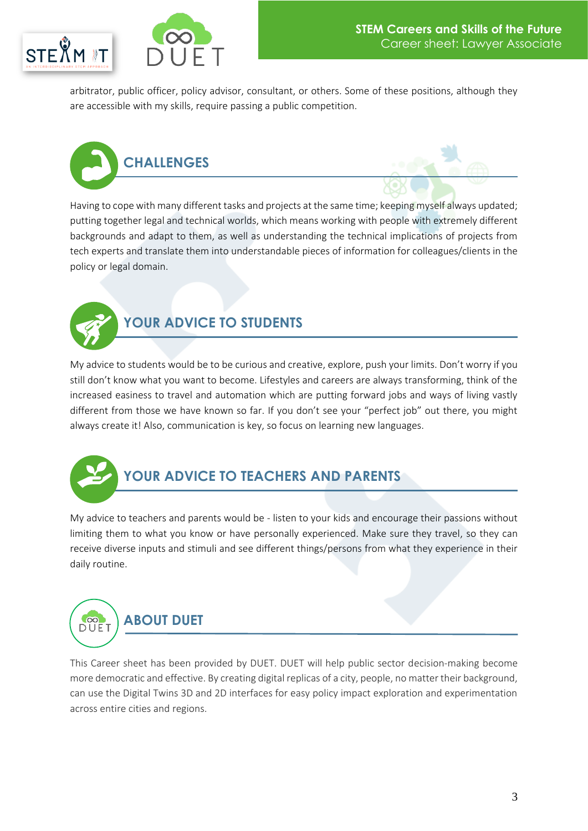



arbitrator, public officer, policy advisor, consultant, or others. Some of these positions, although they are accessible with my skills, require passing a public competition.





Having to cope with many different tasks and projects at the same time; keeping myself always updated; putting together legal and technical worlds, which means working with people with extremely different backgrounds and adapt to them, as well as understanding the technical implications of projects from tech experts and translate them into understandable pieces of information for colleagues/clients in the policy or legal domain.



#### **YOUR ADVICE TO STUDENTS**

My advice to students would be to be curious and creative, explore, push your limits. Don't worry if you still don't know what you want to become. Lifestyles and careers are always transforming, think of the increased easiness to travel and automation which are putting forward jobs and ways of living vastly different from those we have known so far. If you don't see your "perfect job" out there, you might always create it! Also, communication is key, so focus on learning new languages.



### **YOUR ADVICE TO TEACHERS AND PARENTS**

My advice to teachers and parents would be - listen to your kids and encourage their passions without limiting them to what you know or have personally experienced. Make sure they travel, so they can receive diverse inputs and stimuli and see different things/persons from what they experience in their daily routine.

#### **ABOUT DUET**DUET

This Career sheet has been provided by DUET. DUET will help public sector decision-making become more democratic and effective. By creating digital replicas of a city, people, no matter their background, can use the Digital Twins 3D and 2D interfaces for easy policy impact exploration and experimentation across entire cities and regions.